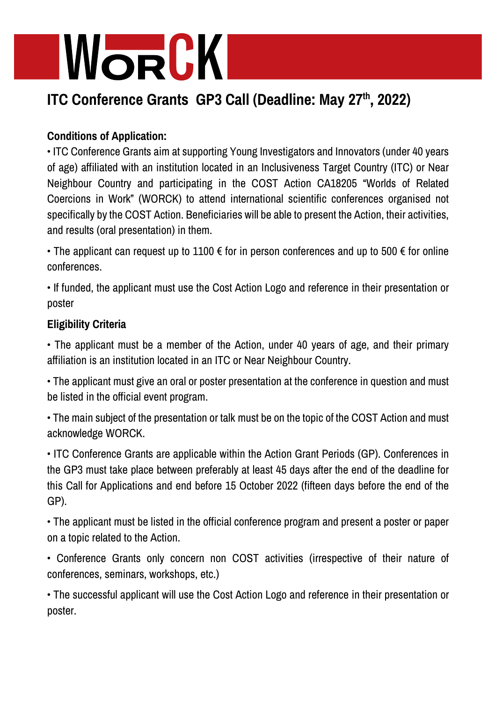## WORCK

### **ITC Conference Grants GP3 Call (Deadline: May 27th , 2022)**

### **Conditions of Application:**

• ITC Conference Grants aim at supporting Young Investigators and Innovators (under 40 years of age) affiliated with an institution located in an Inclusiveness Target Country (ITC) or Near Neighbour Country and participating in the COST Action CA18205 "Worlds of Related Coercions in Work" (WORCK) to attend international scientific conferences organised not specifically by the COST Action. Beneficiaries will be able to present the Action, their activities, and results (oral presentation) in them.

• The applicant can request up to 1100  $\epsilon$  for in person conferences and up to 500  $\epsilon$  for online conferences.

• If funded, the applicant must use the Cost Action Logo and reference in their presentation or poster

#### **Eligibility Criteria**

• The applicant must be a member of the Action, under 40 years of age, and their primary affiliation is an institution located in an ITC or Near Neighbour Country.

• The applicant must give an oral or poster presentation at the conference in question and must be listed in the official event program.

• The main subject of the presentation or talk must be on the topic of the COST Action and must acknowledge WORCK.

• ITC Conference Grants are applicable within the Action Grant Periods (GP). Conferences in the GP3 must take place between preferably at least 45 days after the end of the deadline for this Call for Applications and end before 15 October 2022 (fifteen days before the end of the GP).

• The applicant must be listed in the official conference program and present a poster or paper on a topic related to the Action.

• Conference Grants only concern non COST activities (irrespective of their nature of conferences, seminars, workshops, etc.)

• The successful applicant will use the Cost Action Logo and reference in their presentation or poster.